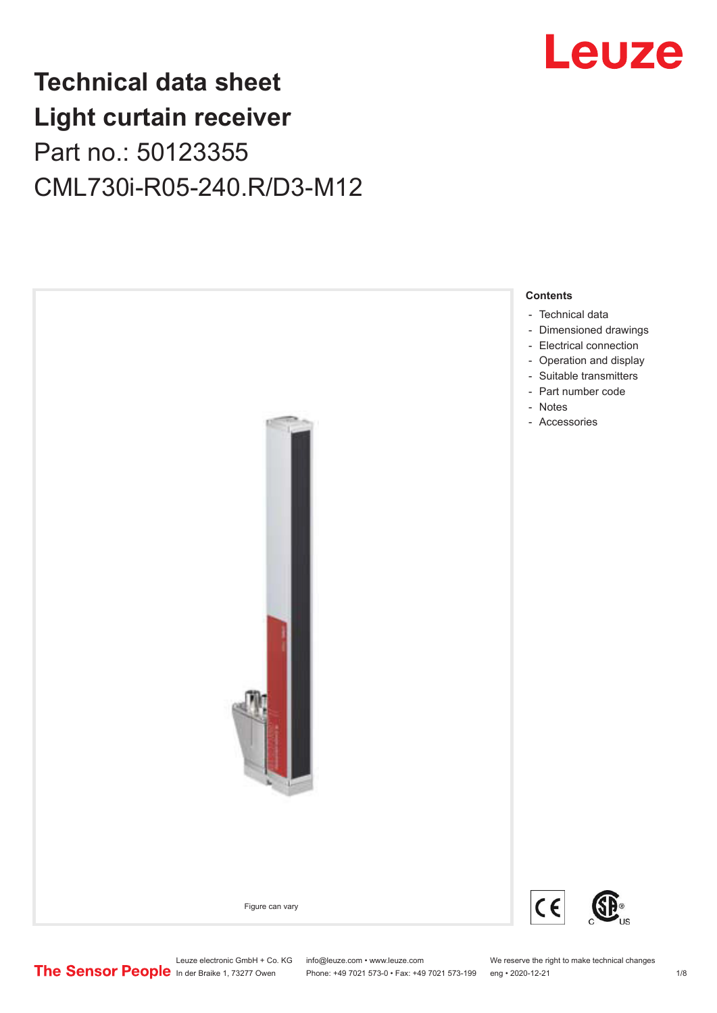# Leuze

# **Technical data sheet Light curtain receiver** Part no.: 50123355 CML730i-R05-240.R/D3-M12



Leuze electronic GmbH + Co. KG info@leuze.com • www.leuze.com We reserve the right to make technical changes<br>
The Sensor People in der Braike 1, 73277 Owen Phone: +49 7021 573-0 • Fax: +49 7021 573-199 eng • 2020-12-21

Phone: +49 7021 573-0 • Fax: +49 7021 573-199 eng • 2020-12-21 1 2020-12-21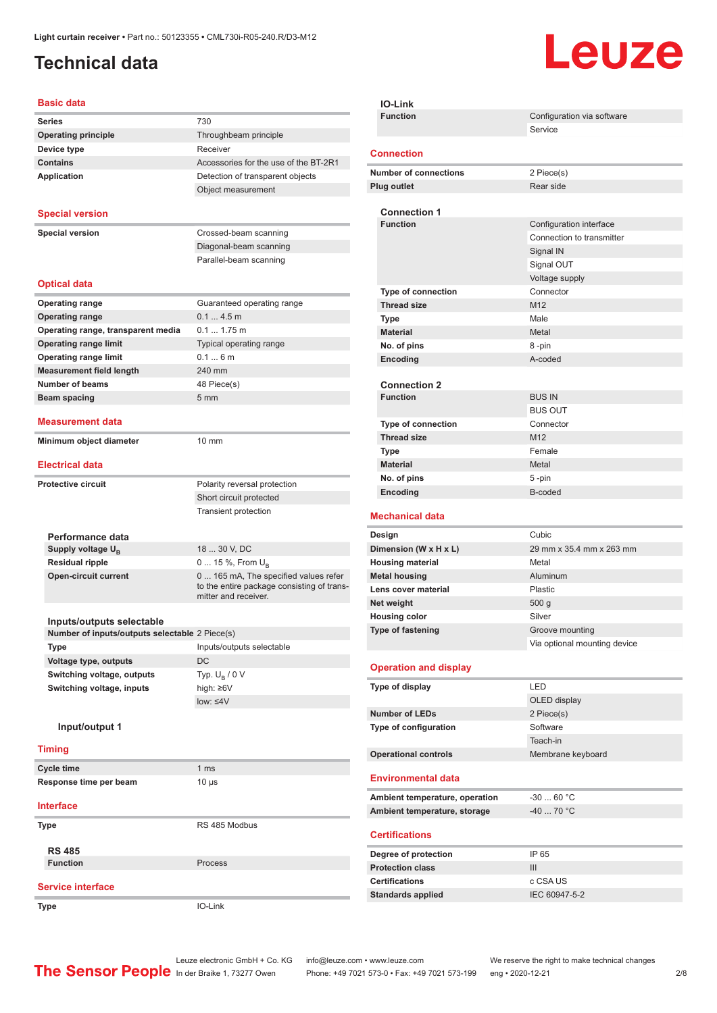## <span id="page-1-0"></span>**Technical data**

# Leuze

#### **Basic data**

| Dasit uata                                     |                                                                                                            |
|------------------------------------------------|------------------------------------------------------------------------------------------------------------|
| <b>Series</b>                                  | 730                                                                                                        |
| <b>Operating principle</b>                     | Throughbeam principle                                                                                      |
| Device type                                    | Receiver                                                                                                   |
| <b>Contains</b>                                | Accessories for the use of the BT-2R1                                                                      |
| <b>Application</b>                             | Detection of transparent objects                                                                           |
|                                                | Object measurement                                                                                         |
| <b>Special version</b>                         |                                                                                                            |
|                                                |                                                                                                            |
| <b>Special version</b>                         | Crossed-beam scanning                                                                                      |
|                                                | Diagonal-beam scanning<br>Parallel-beam scanning                                                           |
|                                                |                                                                                                            |
| <b>Optical data</b>                            |                                                                                                            |
| <b>Operating range</b>                         | Guaranteed operating range                                                                                 |
| <b>Operating range</b>                         | 0.14.5m                                                                                                    |
| Operating range, transparent media             | $0.1 1.75$ m                                                                                               |
| <b>Operating range limit</b>                   | Typical operating range                                                                                    |
| <b>Operating range limit</b>                   | 0.16m                                                                                                      |
| <b>Measurement field length</b>                | 240 mm                                                                                                     |
| <b>Number of beams</b>                         | 48 Piece(s)                                                                                                |
| Beam spacing                                   | 5 <sub>mm</sub>                                                                                            |
| <b>Measurement data</b>                        |                                                                                                            |
| Minimum object diameter                        | 10 mm                                                                                                      |
| <b>Electrical data</b>                         |                                                                                                            |
| <b>Protective circuit</b>                      | Polarity reversal protection                                                                               |
|                                                | Short circuit protected                                                                                    |
|                                                | <b>Transient protection</b>                                                                                |
|                                                |                                                                                                            |
| Performance data                               |                                                                                                            |
| Supply voltage $U_{B}$                         | 18  30 V, DC                                                                                               |
| <b>Residual ripple</b>                         | 0  15 %, From $U_{\rm B}$                                                                                  |
| <b>Open-circuit current</b>                    | 0 165 mA, The specified values refer<br>to the entire package consisting of trans-<br>mitter and receiver. |
|                                                |                                                                                                            |
| Inputs/outputs selectable                      |                                                                                                            |
| Number of inputs/outputs selectable 2 Piece(s) |                                                                                                            |
| Type                                           | Inputs/outputs selectable                                                                                  |
| Voltage type, outputs                          | DC                                                                                                         |
| Switching voltage, outputs                     | Typ. $U_B / 0 V$                                                                                           |
| Switching voltage, inputs                      | high: ≥6V                                                                                                  |
|                                                | $low: 4V$                                                                                                  |
| Input/output 1                                 |                                                                                                            |
| <b>Timing</b>                                  |                                                                                                            |
| <b>Cycle time</b>                              | 1 <sub>ms</sub>                                                                                            |
| Response time per beam                         | $10 \mu s$                                                                                                 |
|                                                |                                                                                                            |
| <b>Interface</b>                               |                                                                                                            |
| Type                                           | RS 485 Modbus                                                                                              |
| <b>RS 485</b>                                  |                                                                                                            |
| <b>Function</b>                                | Process                                                                                                    |
|                                                |                                                                                                            |
| <b>Service interface</b>                       |                                                                                                            |
| Type                                           | IO-Link                                                                                                    |

| <b>IO-Link</b>                                  |                                                 |
|-------------------------------------------------|-------------------------------------------------|
| <b>Function</b>                                 | Configuration via software                      |
|                                                 | Service                                         |
| <b>Connection</b>                               |                                                 |
| <b>Number of connections</b>                    | 2 Piece(s)                                      |
| <b>Plug outlet</b>                              | Rear side                                       |
|                                                 |                                                 |
| <b>Connection 1</b>                             |                                                 |
| <b>Function</b>                                 | Configuration interface                         |
|                                                 | Connection to transmitter                       |
|                                                 | Signal IN<br>Signal OUT                         |
|                                                 | Voltage supply                                  |
| <b>Type of connection</b>                       | Connector                                       |
| <b>Thread size</b>                              | M12                                             |
| Type                                            | Male                                            |
| <b>Material</b>                                 | Metal                                           |
| No. of pins                                     | 8-pin                                           |
| Encoding                                        | A-coded                                         |
|                                                 |                                                 |
| <b>Connection 2</b>                             |                                                 |
| <b>Function</b>                                 | <b>BUS IN</b>                                   |
|                                                 | <b>BUS OUT</b>                                  |
| <b>Type of connection</b><br><b>Thread size</b> | Connector<br>M12                                |
| Type                                            | Female                                          |
| <b>Material</b>                                 | Metal                                           |
| No. of pins                                     | 5-pin                                           |
| Encoding                                        | B-coded                                         |
|                                                 |                                                 |
| <b>Mechanical data</b>                          |                                                 |
| Design                                          | Cubic                                           |
| Dimension (W x H x L)                           | 29 mm x 35.4 mm x 263 mm                        |
| <b>Housing material</b>                         | Metal                                           |
| <b>Metal housing</b>                            | Aluminum                                        |
| Lens cover material                             | Plastic                                         |
| Net weight                                      | 500 <sub>g</sub>                                |
| <b>Housing color</b>                            | Silver                                          |
| Type of fastening                               | Groove mounting<br>Via optional mounting device |
|                                                 |                                                 |
| <b>Operation and display</b>                    |                                                 |
| Type of display                                 | LED                                             |
|                                                 | OLED display                                    |
| <b>Number of LEDs</b>                           | 2 Piece(s)                                      |
| Type of configuration                           | Software                                        |
|                                                 | Teach-in                                        |
| <b>Operational controls</b>                     | Membrane keyboard                               |
| <b>Environmental data</b>                       |                                                 |
| Ambient temperature, operation                  | $-3060 °C$                                      |
| Ambient temperature, storage                    | -40  70 °C                                      |
| <b>Certifications</b>                           |                                                 |
| Degree of protection                            | IP 65                                           |
| <b>Protection class</b>                         | III                                             |
| <b>Certifications</b>                           | c CSA US                                        |
| <b>Standards applied</b>                        | IEC 60947-5-2                                   |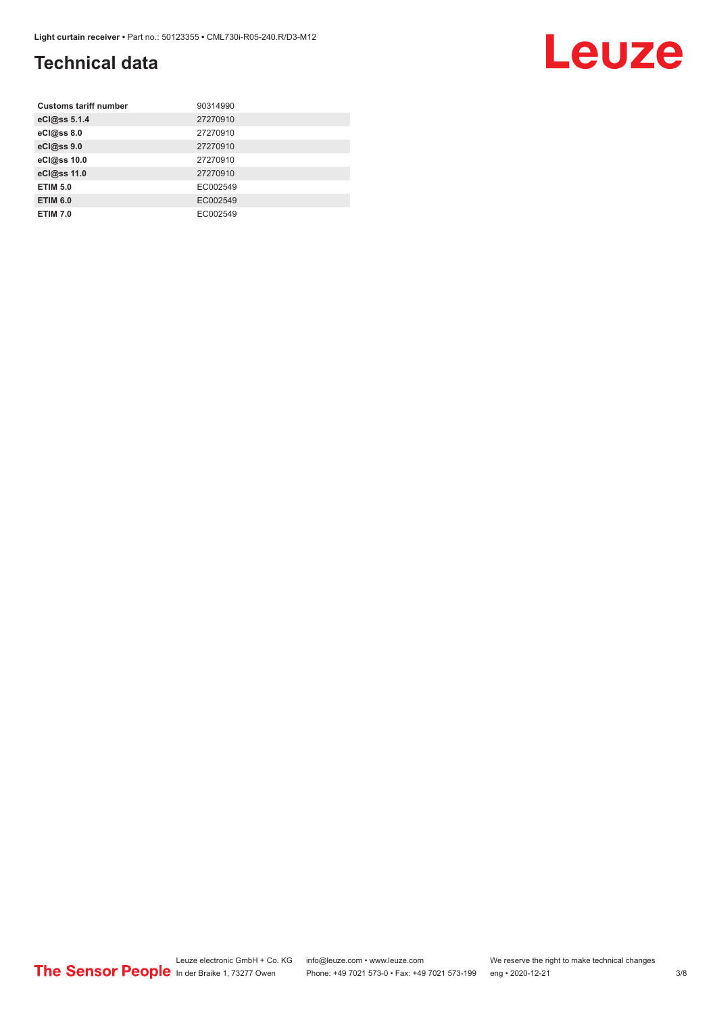## **Technical data**

| <b>Customs tariff number</b> | 90314990 |
|------------------------------|----------|
| eCl@ss 5.1.4                 | 27270910 |
| eCl@ss 8.0                   | 27270910 |
| eCl@ss 9.0                   | 27270910 |
| eCl@ss 10.0                  | 27270910 |
| eCl@ss 11.0                  | 27270910 |
| <b>ETIM 5.0</b>              | EC002549 |
| <b>ETIM 6.0</b>              | EC002549 |
| <b>ETIM 7.0</b>              | EC002549 |

# Leuze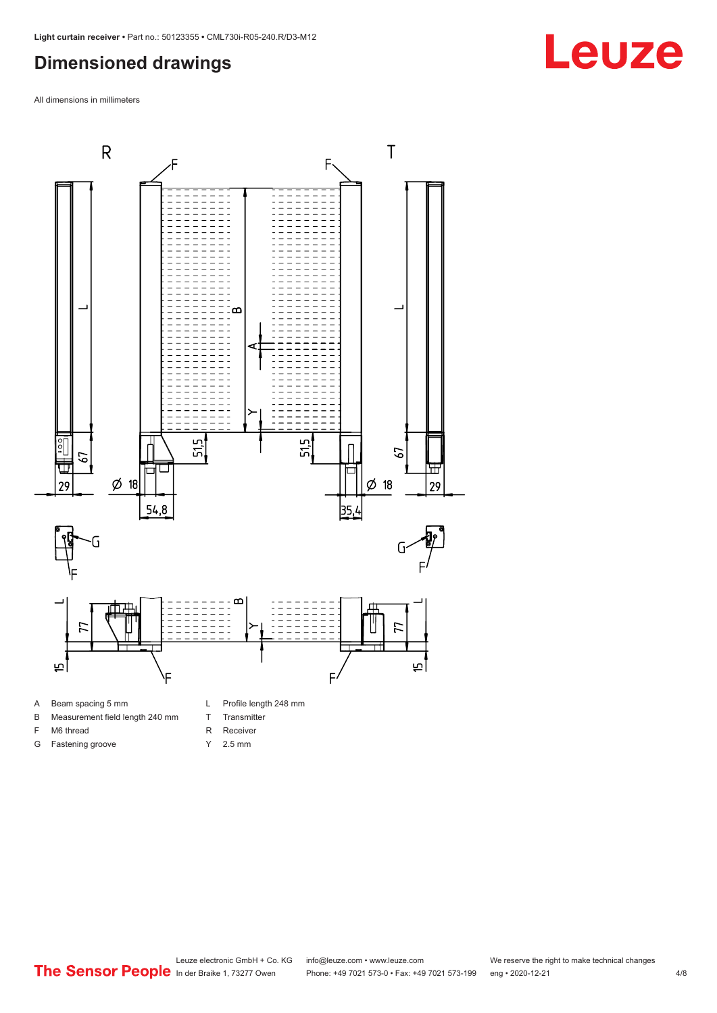#### <span id="page-3-0"></span>**Dimensioned drawings**

All dimensions in millimeters



B Measurement field length 240 mm

F M6 thread G Fastening groove

- T Transmitter
- R Receiver
- Y 2.5 mm

Leuze electronic GmbH + Co. KG info@leuze.com • www.leuze.com We reserve the right to make technical changes<br>
The Sensor People in der Braike 1, 73277 Owen Phone: +49 7021 573-0 • Fax: +49 7021 573-199 eng • 2020-12-21

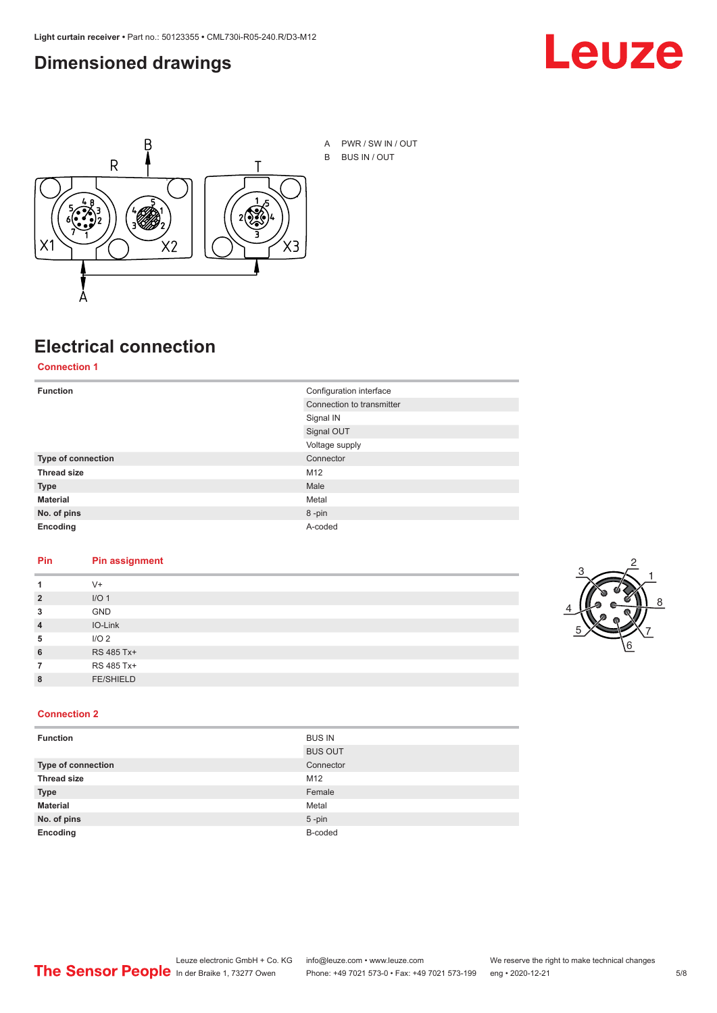#### <span id="page-4-0"></span>**Dimensioned drawings**





A PWR / SW IN / OUT B BUS IN / OUT

## **Electrical connection**

**Connection 1**

| <b>Function</b>    | Configuration interface   |
|--------------------|---------------------------|
|                    | Connection to transmitter |
|                    | Signal IN                 |
|                    | Signal OUT                |
|                    | Voltage supply            |
| Type of connection | Connector                 |
| <b>Thread size</b> | M12                       |
| <b>Type</b>        | Male                      |
| <b>Material</b>    | Metal                     |
| No. of pins        | 8-pin                     |
| Encoding           | A-coded                   |

#### **Pin Pin assignment**

|                | $V +$            |  |  |
|----------------|------------------|--|--|
| $\overline{2}$ | I/O <sub>1</sub> |  |  |
| 3              | <b>GND</b>       |  |  |
| $\overline{4}$ | IO-Link          |  |  |
| 5              | I/O <sub>2</sub> |  |  |
| 6              | RS 485 Tx+       |  |  |
|                | RS 485 Tx+       |  |  |
| 8              | <b>FE/SHIELD</b> |  |  |
|                |                  |  |  |



#### **Connection 2**

| <b>Function</b>    | <b>BUS IN</b>  |
|--------------------|----------------|
|                    | <b>BUS OUT</b> |
| Type of connection | Connector      |
| <b>Thread size</b> | M12            |
| <b>Type</b>        | Female         |
| <b>Material</b>    | Metal          |
| No. of pins        | $5$ -pin       |
| Encoding           | B-coded        |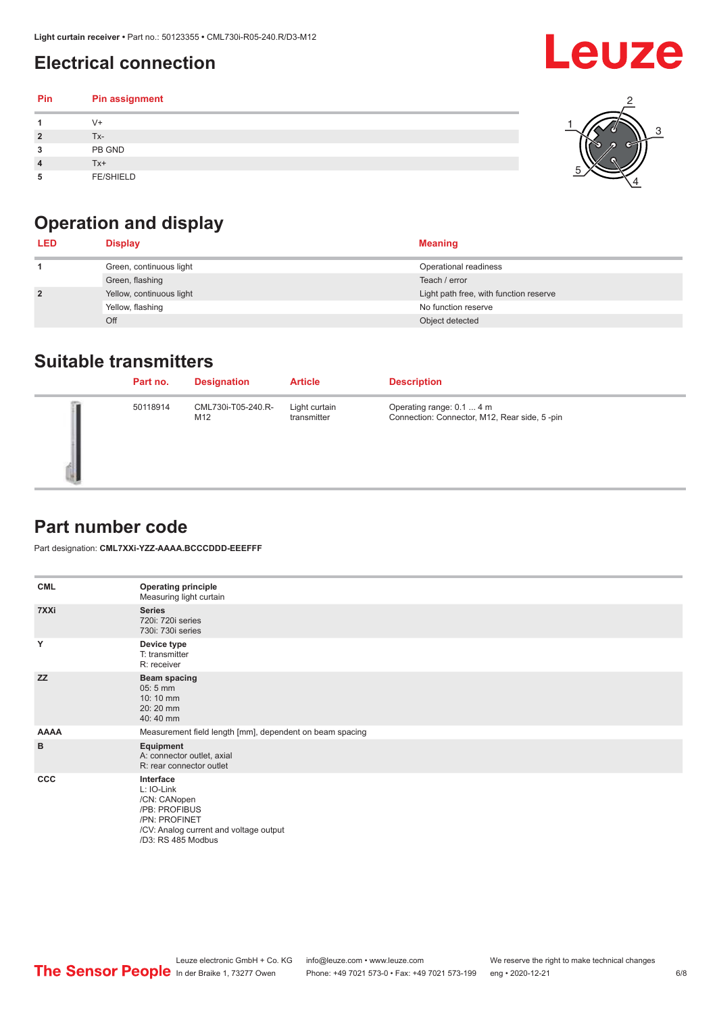## <span id="page-5-0"></span>**Electrical connection**

#### **Pin Pin assignment 1** V+ **2** Tx-**3** PB GND **4** Tx+ **5** FE/SHIELD 3 2 1 5 4

## **Operation and display**

| <b>LED</b>     | <b>Display</b>           | <b>Meaning</b>                         |
|----------------|--------------------------|----------------------------------------|
|                | Green, continuous light  | Operational readiness                  |
|                | Green, flashing          | Teach / error                          |
| $\overline{2}$ | Yellow, continuous light | Light path free, with function reserve |
|                | Yellow, flashing         | No function reserve                    |
|                | Off                      | Object detected                        |

#### **Suitable transmitters**

| Part no. | <b>Designation</b>        | <b>Article</b>               | <b>Description</b>                                                        |
|----------|---------------------------|------------------------------|---------------------------------------------------------------------------|
| 50118914 | CML730i-T05-240.R-<br>M12 | Light curtain<br>transmitter | Operating range: 0.1  4 m<br>Connection: Connector, M12, Rear side, 5-pin |

### **Part number code**

Part designation: **CML7XXi-YZZ-AAAA.BCCCDDD-EEEFFF**

| <b>CML</b>   | <b>Operating principle</b><br>Measuring light curtain                                                                                     |
|--------------|-------------------------------------------------------------------------------------------------------------------------------------------|
| 7XXi         | <b>Series</b><br>720i: 720i series<br>730i: 730i series                                                                                   |
| Y            | Device type<br>T: transmitter<br>R: receiver                                                                                              |
| <b>ZZ</b>    | <b>Beam spacing</b><br>$05:5$ mm<br>10:10 mm<br>20:20 mm<br>40:40 mm                                                                      |
| <b>AAAA</b>  | Measurement field length [mm], dependent on beam spacing                                                                                  |
| в            | Equipment<br>A: connector outlet, axial<br>R: rear connector outlet                                                                       |
| $_{\rm ccc}$ | Interface<br>L: IO-Link<br>/CN: CANopen<br>/PB: PROFIBUS<br>/PN: PROFINET<br>/CV: Analog current and voltage output<br>/D3: RS 485 Modbus |

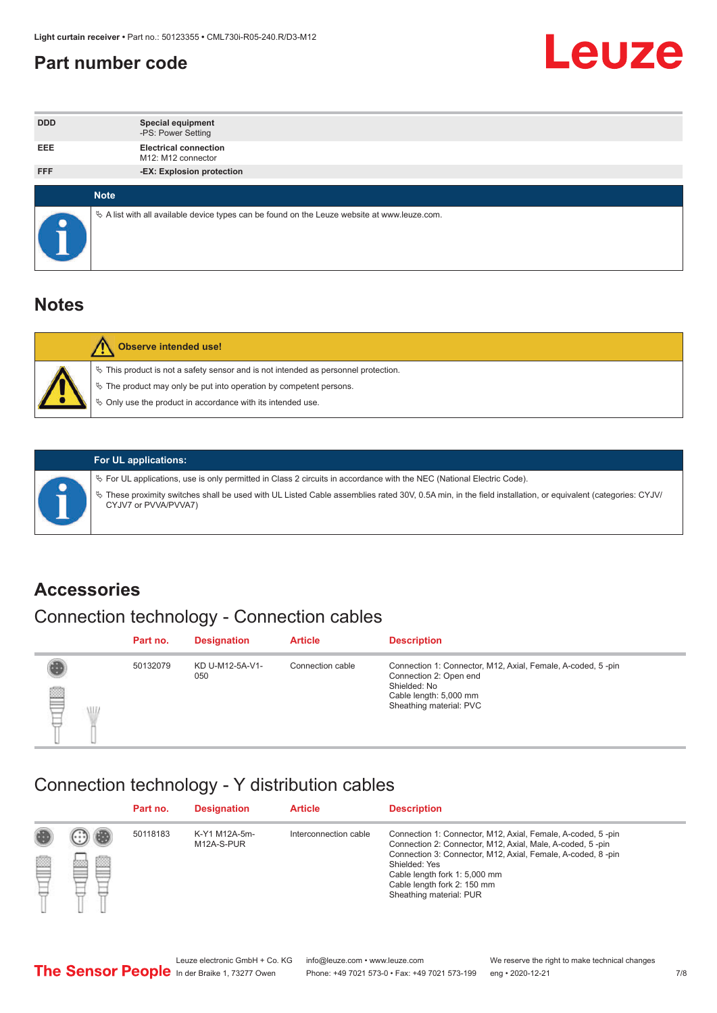#### <span id="page-6-0"></span>**Part number code**



| <b>DDD</b>  | <b>Special equipment</b><br>-PS: Power Setting                                                  |
|-------------|-------------------------------------------------------------------------------------------------|
| <b>EEE</b>  | <b>Electrical connection</b><br>M12: M12 connector                                              |
| <b>FFF</b>  | -EX: Explosion protection                                                                       |
|             |                                                                                                 |
| <b>Note</b> |                                                                                                 |
|             | $\&$ A list with all available device types can be found on the Leuze website at www.leuze.com. |

#### **Notes**

| Observe intended use!                                                                                                                                                                                                      |
|----------------------------------------------------------------------------------------------------------------------------------------------------------------------------------------------------------------------------|
| $\%$ This product is not a safety sensor and is not intended as personnel protection.<br>₹ The product may only be put into operation by competent persons.<br>♦ Only use the product in accordance with its intended use. |



#### **For UL applications:**

ª For UL applications, use is only permitted in Class 2 circuits in accordance with the NEC (National Electric Code). ª These proximity switches shall be used with UL Listed Cable assemblies rated 30V, 0.5A min, in the field installation, or equivalent (categories: CYJV/ CYJV7 or PVVA/PVVA7)

#### **Accessories**

## Connection technology - Connection cables

|        | Part no. | <b>Designation</b>     | <b>Article</b>   | <b>Description</b>                                                                                                                                         |
|--------|----------|------------------------|------------------|------------------------------------------------------------------------------------------------------------------------------------------------------------|
| 2<br>W | 50132079 | KD U-M12-5A-V1-<br>050 | Connection cable | Connection 1: Connector, M12, Axial, Female, A-coded, 5-pin<br>Connection 2: Open end<br>Shielded: No<br>Cable length: 5,000 mm<br>Sheathing material: PVC |

#### Connection technology - Y distribution cables

|        |   | Part no. | <b>Designation</b>          | <b>Article</b>        | <b>Description</b>                                                                                                                                                                                                                                                                                  |
|--------|---|----------|-----------------------------|-----------------------|-----------------------------------------------------------------------------------------------------------------------------------------------------------------------------------------------------------------------------------------------------------------------------------------------------|
| 圔<br>⋿ | Ø | 50118183 | K-Y1 M12A-5m-<br>M12A-S-PUR | Interconnection cable | Connection 1: Connector, M12, Axial, Female, A-coded, 5-pin<br>Connection 2: Connector, M12, Axial, Male, A-coded, 5-pin<br>Connection 3: Connector, M12, Axial, Female, A-coded, 8-pin<br>Shielded: Yes<br>Cable length fork 1: 5,000 mm<br>Cable length fork 2: 150 mm<br>Sheathing material: PUR |